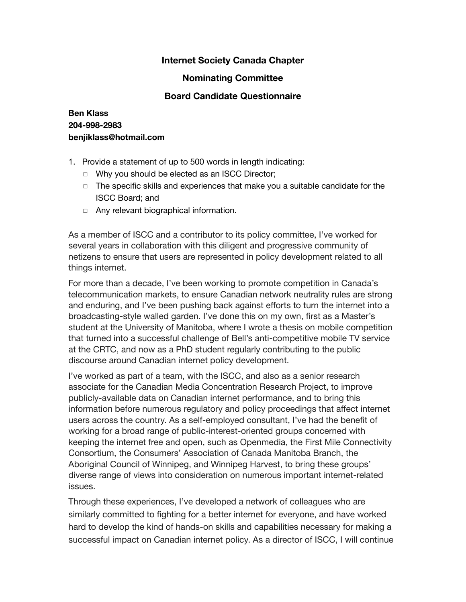# **Internet Society Canada Chapter**

### **Nominating Committee**

### **Board Candidate Questionnaire**

# **Ben Klass 204-998-2983 benjiklass@hotmail.com**

- 1. Provide a statement of up to 500 words in length indicating:
	- ◻ Why you should be elected as an ISCC Director;
	- ◻ The specific skills and experiences that make you a suitable candidate for the ISCC Board; and
	- ◻ Any relevant biographical information.

As a member of ISCC and a contributor to its policy committee, I've worked for several years in collaboration with this diligent and progressive community of netizens to ensure that users are represented in policy development related to all things internet.

For more than a decade, I've been working to promote competition in Canada's telecommunication markets, to ensure Canadian network neutrality rules are strong and enduring, and I've been pushing back against efforts to turn the internet into a broadcasting-style walled garden. I've done this on my own, first as a Master's student at the University of Manitoba, where I wrote a thesis on mobile competition that turned into a successful challenge of Bell's anti-competitive mobile TV service at the CRTC, and now as a PhD student regularly contributing to the public discourse around Canadian internet policy development.

I've worked as part of a team, with the ISCC, and also as a senior research associate for the Canadian Media Concentration Research Project, to improve publicly-available data on Canadian internet performance, and to bring this information before numerous regulatory and policy proceedings that affect internet users across the country. As a self-employed consultant, I've had the benefit of working for a broad range of public-interest-oriented groups concerned with keeping the internet free and open, such as Openmedia, the First Mile Connectivity Consortium, the Consumers' Association of Canada Manitoba Branch, the Aboriginal Council of Winnipeg, and Winnipeg Harvest, to bring these groups' diverse range of views into consideration on numerous important internet-related issues.

Through these experiences, I've developed a network of colleagues who are similarly committed to fighting for a better internet for everyone, and have worked hard to develop the kind of hands-on skills and capabilities necessary for making a successful impact on Canadian internet policy. As a director of ISCC, I will continue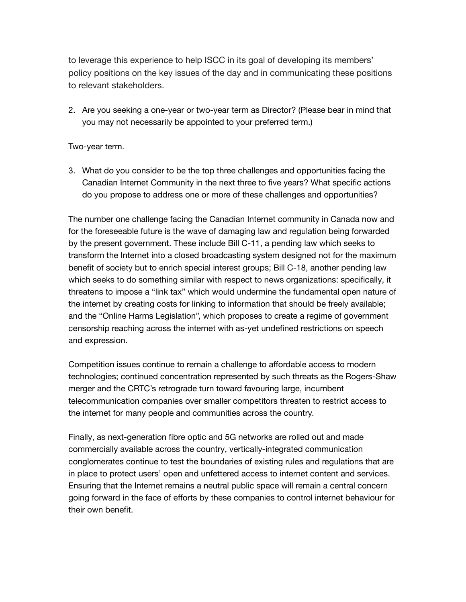to leverage this experience to help ISCC in its goal of developing its members' policy positions on the key issues of the day and in communicating these positions to relevant stakeholders.

2. Are you seeking a one-year or two-year term as Director? (Please bear in mind that you may not necessarily be appointed to your preferred term.)

#### Two-year term.

3. What do you consider to be the top three challenges and opportunities facing the Canadian Internet Community in the next three to five years? What specific actions do you propose to address one or more of these challenges and opportunities?

The number one challenge facing the Canadian Internet community in Canada now and for the foreseeable future is the wave of damaging law and regulation being forwarded by the present government. These include Bill C-11, a pending law which seeks to transform the Internet into a closed broadcasting system designed not for the maximum benefit of society but to enrich special interest groups; Bill C-18, another pending law which seeks to do something similar with respect to news organizations: specifically, it threatens to impose a "link tax" which would undermine the fundamental open nature of the internet by creating costs for linking to information that should be freely available; and the "Online Harms Legislation", which proposes to create a regime of government censorship reaching across the internet with as-yet undefined restrictions on speech and expression.

Competition issues continue to remain a challenge to affordable access to modern technologies; continued concentration represented by such threats as the Rogers-Shaw merger and the CRTC's retrograde turn toward favouring large, incumbent telecommunication companies over smaller competitors threaten to restrict access to the internet for many people and communities across the country.

Finally, as next-generation fibre optic and 5G networks are rolled out and made commercially available across the country, vertically-integrated communication conglomerates continue to test the boundaries of existing rules and regulations that are in place to protect users' open and unfettered access to internet content and services. Ensuring that the Internet remains a neutral public space will remain a central concern going forward in the face of efforts by these companies to control internet behaviour for their own benefit.